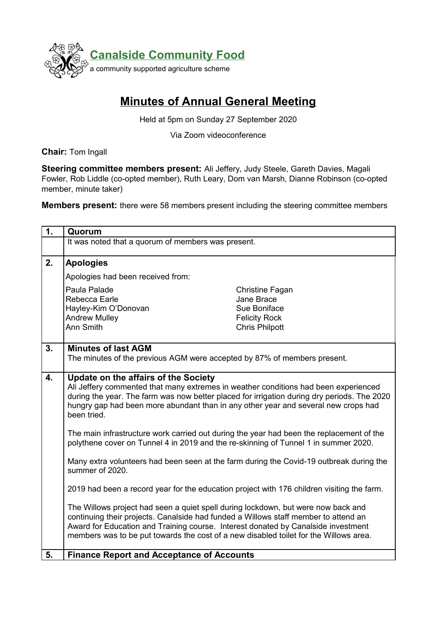

## **Minutes of Annual General Meeting**

Held at 5pm on Sunday 27 September 2020

Via Zoom videoconference

**Chair:** Tom Ingall

**Steering committee members present:** Ali Jeffery, Judy Steele, Gareth Davies, Magali Fowler, Rob Liddle (co-opted member), Ruth Leary, Dom van Marsh, Dianne Robinson (co-opted member, minute taker)

**Members present:** there were 58 members present including the steering committee members

| 1. | Quorum                                                                                                                                                                            |                       |
|----|-----------------------------------------------------------------------------------------------------------------------------------------------------------------------------------|-----------------------|
|    | It was noted that a quorum of members was present.                                                                                                                                |                       |
|    |                                                                                                                                                                                   |                       |
| 2. | <b>Apologies</b>                                                                                                                                                                  |                       |
|    | Apologies had been received from:                                                                                                                                                 |                       |
|    | Paula Palade                                                                                                                                                                      | Christine Fagan       |
|    | Rebecca Earle                                                                                                                                                                     | Jane Brace            |
|    | Hayley-Kim O'Donovan                                                                                                                                                              | Sue Boniface          |
|    | <b>Andrew Mulley</b><br>Ann Smith                                                                                                                                                 | <b>Felicity Rock</b>  |
|    |                                                                                                                                                                                   | <b>Chris Philpott</b> |
| 3. | <b>Minutes of last AGM</b>                                                                                                                                                        |                       |
|    | The minutes of the previous AGM were accepted by 87% of members present.                                                                                                          |                       |
|    |                                                                                                                                                                                   |                       |
| 4. | <b>Update on the affairs of the Society</b>                                                                                                                                       |                       |
|    | Ali Jeffery commented that many extremes in weather conditions had been experienced                                                                                               |                       |
|    | during the year. The farm was now better placed for irrigation during dry periods. The 2020<br>hungry gap had been more abundant than in any other year and several new crops had |                       |
|    | been tried.                                                                                                                                                                       |                       |
|    |                                                                                                                                                                                   |                       |
|    | The main infrastructure work carried out during the year had been the replacement of the                                                                                          |                       |
|    | polythene cover on Tunnel 4 in 2019 and the re-skinning of Tunnel 1 in summer 2020.                                                                                               |                       |
|    | Many extra volunteers had been seen at the farm during the Covid-19 outbreak during the                                                                                           |                       |
|    | summer of 2020.                                                                                                                                                                   |                       |
|    |                                                                                                                                                                                   |                       |
|    | 2019 had been a record year for the education project with 176 children visiting the farm.                                                                                        |                       |
|    | The Willows project had seen a quiet spell during lockdown, but were now back and                                                                                                 |                       |
|    | continuing their projects. Canalside had funded a Willows staff member to attend an                                                                                               |                       |
|    | Award for Education and Training course. Interest donated by Canalside investment                                                                                                 |                       |
|    | members was to be put towards the cost of a new disabled toilet for the Willows area.                                                                                             |                       |
|    |                                                                                                                                                                                   |                       |
| 5. | <b>Finance Report and Acceptance of Accounts</b>                                                                                                                                  |                       |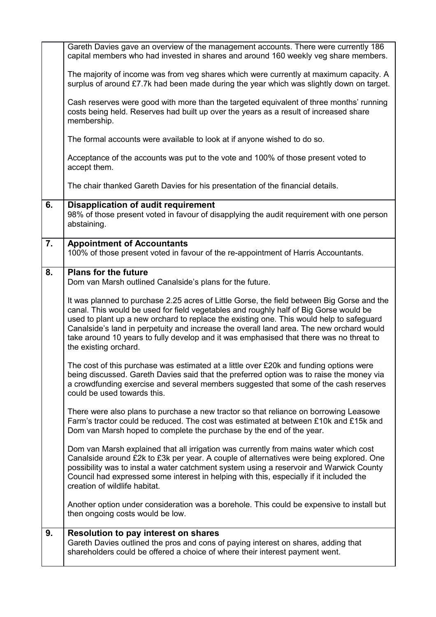|    | Gareth Davies gave an overview of the management accounts. There were currently 186<br>capital members who had invested in shares and around 160 weekly veg share members.                                                                                                                                                                                                                                                                                                                      |
|----|-------------------------------------------------------------------------------------------------------------------------------------------------------------------------------------------------------------------------------------------------------------------------------------------------------------------------------------------------------------------------------------------------------------------------------------------------------------------------------------------------|
|    | The majority of income was from veg shares which were currently at maximum capacity. A<br>surplus of around £7.7k had been made during the year which was slightly down on target.                                                                                                                                                                                                                                                                                                              |
|    | Cash reserves were good with more than the targeted equivalent of three months' running<br>costs being held. Reserves had built up over the years as a result of increased share<br>membership.                                                                                                                                                                                                                                                                                                 |
|    | The formal accounts were available to look at if anyone wished to do so.                                                                                                                                                                                                                                                                                                                                                                                                                        |
|    | Acceptance of the accounts was put to the vote and 100% of those present voted to<br>accept them.                                                                                                                                                                                                                                                                                                                                                                                               |
|    | The chair thanked Gareth Davies for his presentation of the financial details.                                                                                                                                                                                                                                                                                                                                                                                                                  |
| 6. | <b>Disapplication of audit requirement</b><br>98% of those present voted in favour of disapplying the audit requirement with one person<br>abstaining.                                                                                                                                                                                                                                                                                                                                          |
| 7. | <b>Appointment of Accountants</b><br>100% of those present voted in favour of the re-appointment of Harris Accountants.                                                                                                                                                                                                                                                                                                                                                                         |
| 8. | <b>Plans for the future</b><br>Dom van Marsh outlined Canalside's plans for the future.                                                                                                                                                                                                                                                                                                                                                                                                         |
|    | It was planned to purchase 2.25 acres of Little Gorse, the field between Big Gorse and the<br>canal. This would be used for field vegetables and roughly half of Big Gorse would be<br>used to plant up a new orchard to replace the existing one. This would help to safeguard<br>Canalside's land in perpetuity and increase the overall land area. The new orchard would<br>take around 10 years to fully develop and it was emphasised that there was no threat to<br>the existing orchard. |
|    | The cost of this purchase was estimated at a little over £20k and funding options were<br>being discussed. Gareth Davies said that the preferred option was to raise the money via<br>a crowdfunding exercise and several members suggested that some of the cash reserves<br>could be used towards this.                                                                                                                                                                                       |
|    | There were also plans to purchase a new tractor so that reliance on borrowing Leasowe<br>Farm's tractor could be reduced. The cost was estimated at between £10k and £15k and<br>Dom van Marsh hoped to complete the purchase by the end of the year.                                                                                                                                                                                                                                           |
|    | Dom van Marsh explained that all irrigation was currently from mains water which cost<br>Canalside around £2k to £3k per year. A couple of alternatives were being explored. One<br>possibility was to instal a water catchment system using a reservoir and Warwick County<br>Council had expressed some interest in helping with this, especially if it included the<br>creation of wildlife habitat.                                                                                         |
|    | Another option under consideration was a borehole. This could be expensive to install but<br>then ongoing costs would be low.                                                                                                                                                                                                                                                                                                                                                                   |
| 9. | <b>Resolution to pay interest on shares</b><br>Gareth Davies outlined the pros and cons of paying interest on shares, adding that<br>shareholders could be offered a choice of where their interest payment went.                                                                                                                                                                                                                                                                               |